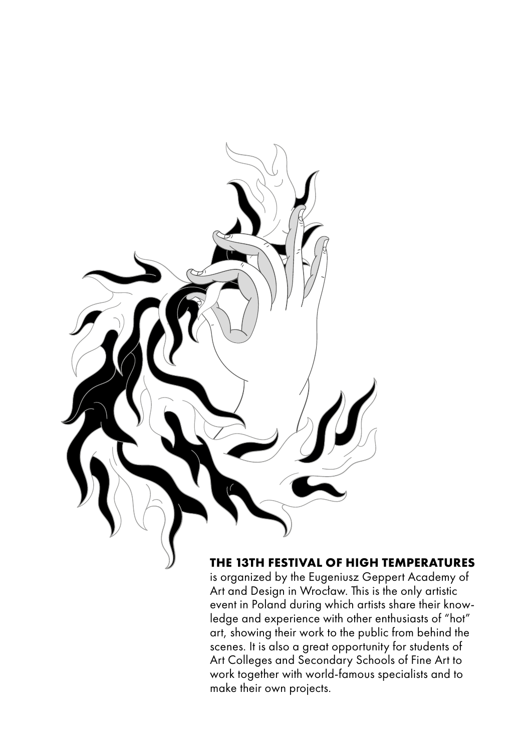

## **THE 13TH FESTIVAL OF HIGH TEMPERATURES**

is organized by the Eugeniusz Geppert Academy of Art and Design in Wrocław. This is the only artistic event in Poland during which artists share their knowledge and experience with other enthusiasts of "hot" art, showing their work to the public from behind the scenes. It is also a great opportunity for students of Art Colleges and Secondary Schools of Fine Art to work together with world-famous specialists and to make their own projects.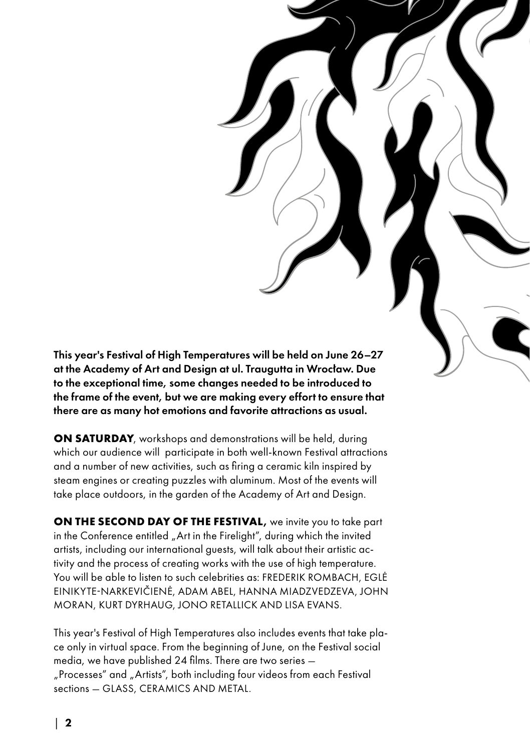This year's Festival of High Temperatures will be held on June 26-27 at the Academy of Art and Design at ul. Traugutta in Wrocław. Due to the exceptional time, some changes needed to be introduced to the frame of the event, but we are making every effort to ensure that there are as many hot emotions and favorite attractions as usual.

**ON SATURDAY**, workshops and demonstrations will be held, during which our audience will participate in both well-known Festival attractions and a number of new activities, such as firing a ceramic kiln inspired by steam engines or creating puzzles with aluminum. Most of the events will take place outdoors, in the garden of the Academy of Art and Design.

**ON THE SECOND DAY OF THE FESTIVAL**, we invite you to take part in the Conference entitled "Art in the Firelight", during which the invited artists, including our international guests, will talk about their artistic activity and the process of creating works with the use of high temperature. You will be able to listen to such celebrities as: FREDERIK ROMBACH, EGLĖ EINIKYTE-NARKEVIČIENĖ, ADAM ABEL, HANNA MIADZVEDZEVA, JOHN MORAN, KURT DYRHAUG, JONO RETALLICK AND LISA EVANS.

This year's Festival of High Temperatures also includes events that take place only in virtual space. From the beginning of June, on the Festival social media, we have published 24 films. There are two series — "Processes" and "Artists", both including four videos from each Festival sections — GLASS, CERAMICS AND METAL.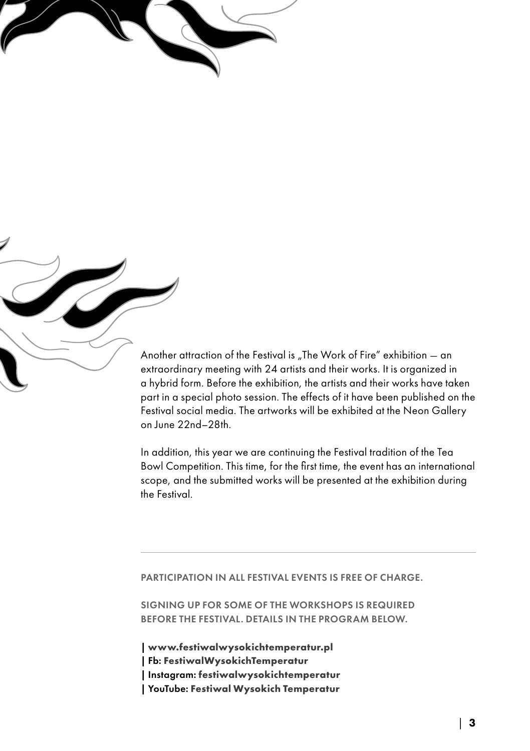Another attraction of the Festival is "The Work of Fire" exhibition  $-$  an extraordinary meeting with 24 artists and their works. It is organized in a hybrid form. Before the exhibition, the artists and their works have taken part in a special photo session. The effects of it have been published on the Festival social media. The artworks will be exhibited at the Neon Gallery on June 22nd–28th.

In addition, this year we are continuing the Festival tradition of the Tea Bowl Competition. This time, for the first time, the event has an international scope, and the submitted works will be presented at the exhibition during the Festival.

### PARTICIPATION IN ALL FESTIVAL EVENTS IS FREE OF CHARGE.

SIGNING UP FOR SOME OF THE WORKSHOPS IS REQUIRED BEFORE THE FESTIVAL. DETAILS IN THE PROGRAM BELOW.

**| [www.festiwalwysokichtemperatur.pl](https://festiwalwysokichtemperatur.pl/home/) |** Fb: **[FestiwalWysokichTemperatur](www.facebook.com/FestiwalWysokichTemperatur) |** Instagram: **[festiwalwysokichtemperatur](https://www.instagram.com/festiwalwysokichtemperatur/) |** YouTube: **[Festiwal Wysokich Temperatur](https://www.youtube.com/channel/UC61xxwSWrgpdit1Kc0skvZQ)**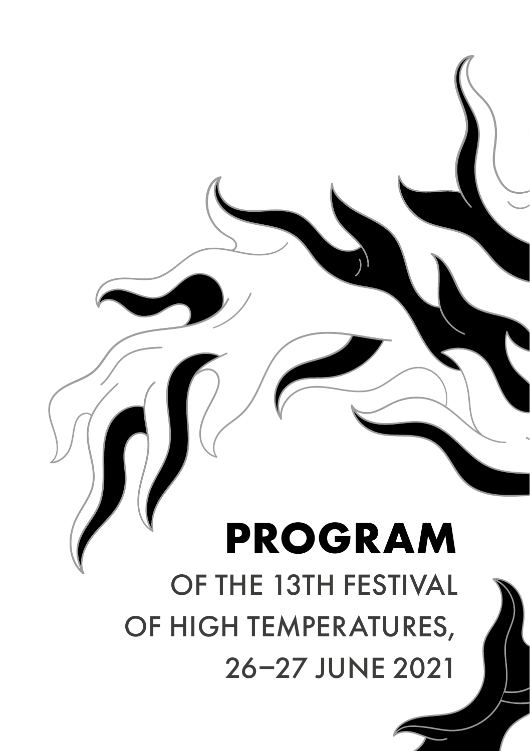# **PROGRAM** OF THE 13TH FESTIVAL OF HIGH TEMPERATURES, 26–27 JUNE 2021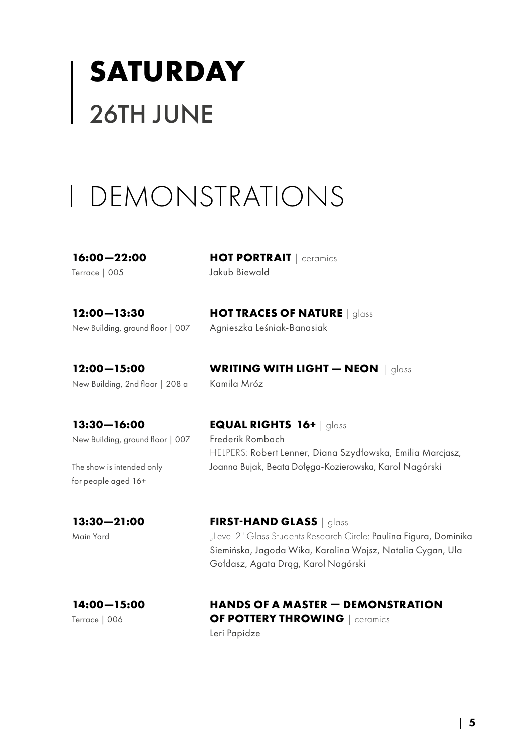# **SATURDAY** 26TH JUNE

## DEMONSTRATIONS

**16:00—22:00** Terrace | 005

**HOT PORTRAIT** | ceramics Jakub Biewald

Agnieszka Leśniak-Banasiak

**12:00—13:30** New Building, ground floor | 007

**12:00—15:00** New Building, 2nd floor | 208 a

**WRITING WITH LIGHT — NEON** | glass Kamila Mróz

**13:30—16:00** New Building, ground floor | 007

The show is intended only for people aged 16+

**EQUAL RIGHTS 16+** | glass Frederik Rombach

**HOT TRACES OF NATURE** | glass

HELPERS: Robert Lenner, Diana Szydłowska, Emilia Marcjasz, Joanna Bujak, Beata Dołęga-Kozierowska, Karol Nagórski

## **13:30—21:00**

Main Yard

**FIRST-HAND GLASS** | glass "Level 2" Glass Students Research Circle: Paulina Figura, Dominika Siemińska, Jagoda Wika, Karolina Wojsz, Natalia Cygan, Ula Gołdasz, Agata Drąg, Karol Nagórski

## **14:00—15:00**

Terrace | 006

## **HANDS OF A MASTER — DEMONSTRATION OF POTTERY THROWING** I ceramics

Leri Papidze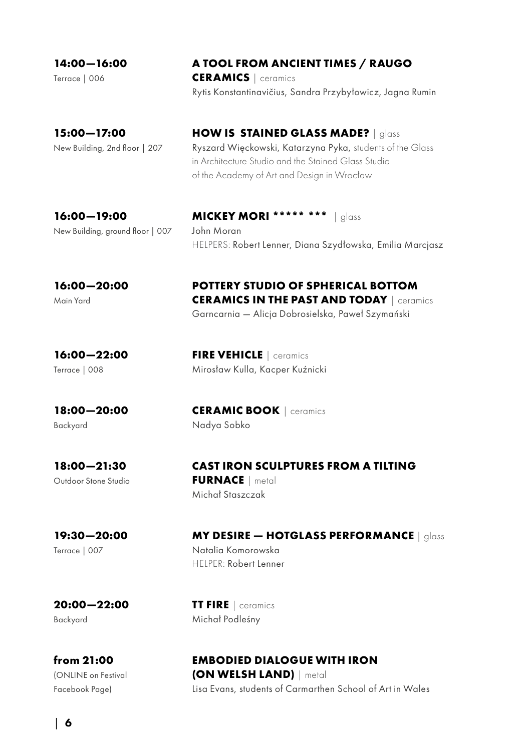**14:00—16:00**

Terrace | 006

## **A TOOL FROM ANCIENT TIMES / RAUGO**

**CERAMICS** | ceramics Rytis Konstantinavičius, Sandra Przybyłowicz, Jagna Rumin

**15:00—17:00** New Building, 2nd floor | 207 **HOW IS STAINED GLASS MADE?** | glass Ryszard Więckowski, Katarzyna Pyka, students of the Glass in Architecture Studio and the Stained Glass Studio of the Academy of Art and Design in Wrocław

**16:00—19:00** New Building, ground floor | 007

**MICKEY MORI \*\*\*\*\* \*\*\*** | glass John Moran HELPERS: Robert Lenner, Diana Szydłowska, Emilia Marcjasz

## **16:00—20:00**

Main Yard

**POTTERY STUDIO OF SPHERICAL BOTTOM CERAMICS IN THE PAST AND TODAY** | ceramics Garncarnia — Alicja Dobrosielska, Paweł Szymański

**16:00—22:00** Terrace | 008

**FIRE VEHICLE** | ceramics Mirosław Kulla, Kacper Kuźnicki

**18:00—20:00**

Backyard

**CERAMIC BOOK** | ceramics Nadya Sobko

**TT FIRE** | ceramics Michał Podleśny

**18:00—21:30** Outdoor Stone Studio

### **CAST IRON SCULPTURES FROM A TILTING FURNACE** | metal Michał Staszczak

**19:30—20:00**

Terrace | 007

**MY DESIRE — HOTGLASS PERFORMANCE** | glass Natalia Komorowska HELPER: Robert Lenner

**20:00—22:00** Backyard

**from 21:00** (ONLINE on Festival Facebook Page)

## **EMBODIED DIALOGUE WITH IRON (ON WELSH LAND)** | metal

Lisa Evans, students of Carmarthen School of Art in Wales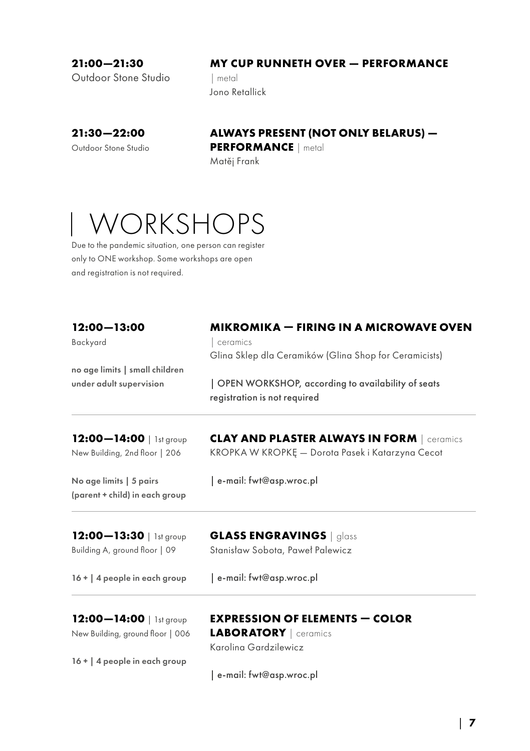**21:00—21:30**

#### **MY CUP RUNNETH OVER — PERFORMANCE**

Outdoor Stone Studio

| metal Jono Retallick

**21:30—22:00** Outdoor Stone Studio

## **ALWAYS PRESENT (NOT ONLY BELARUS) —**

**PERFORMANCE** | metal

Matěj Frank

## WORKSHOPS

Due to the pandemic situation, one person can register only to ONE workshop. Some workshops are open and registration is not required.

| $12:00 - 13:00$                  | <b>MIKROMIKA – FIRING IN A MICROWAVE OVEN</b>                                     |  |  |
|----------------------------------|-----------------------------------------------------------------------------------|--|--|
| Backyard                         | ceramics                                                                          |  |  |
|                                  | Glina Sklep dla Ceramików (Glina Shop for Ceramicists)                            |  |  |
| no age limits   small children   |                                                                                   |  |  |
| under adult supervision          | OPEN WORKSHOP, according to availability of seats<br>registration is not required |  |  |
| 12:00-14:00   1st group          | <b>CLAY AND PLASTER ALWAYS IN FORM   Ceramics</b>                                 |  |  |
| New Building, 2nd floor   206    | KROPKA W KROPKĘ - Dorota Pasek i Katarzyna Cecot                                  |  |  |
| No age limits   5 pairs          | e-mail: fwt@asp.wroc.pl                                                           |  |  |
| (parent + child) in each group   |                                                                                   |  |  |
| 12:00-13:30   1st group          | <b>GLASS ENGRAVINGS</b>   glass                                                   |  |  |
| Building A, ground floor   09    | Stanisław Sobota, Paweł Palewicz                                                  |  |  |
| 16 +   4 people in each group    | e-mail: fwt@asp.wroc.pl                                                           |  |  |
| 12:00-14:00   1st group          | <b>EXPRESSION OF ELEMENTS - COLOR</b>                                             |  |  |
| New Building, ground floor   006 | <b>LABORATORY</b>   ceramics                                                      |  |  |
|                                  | Karolina Gardzilewicz                                                             |  |  |
| 16 +   4 people in each group    |                                                                                   |  |  |
|                                  | e-mail: fwt@asp.wroc.pl                                                           |  |  |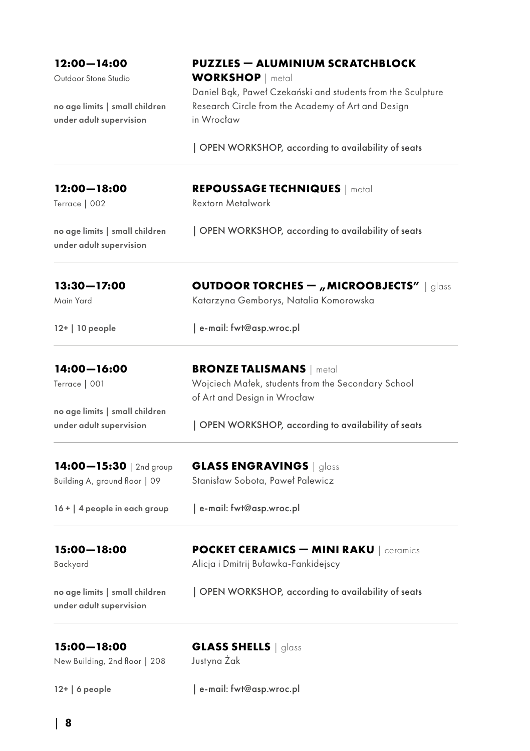| 12:00-14:00                                               | <b>PUZZLES – ALUMINIUM SCRATCHBLOCK</b>                                                                                         |  |
|-----------------------------------------------------------|---------------------------------------------------------------------------------------------------------------------------------|--|
| Outdoor Stone Studio                                      | <b>WORKSHOP</b>   metal                                                                                                         |  |
| no age limits   small children<br>under adult supervision | Daniel Bak, Paweł Czekański and students from the Sculpture<br>Research Circle from the Academy of Art and Design<br>in Wrocław |  |
|                                                           | OPEN WORKSHOP, according to availability of seats                                                                               |  |
| 12:00-18:00                                               | <b>REPOUSSAGE TECHNIQUES</b>   metal                                                                                            |  |
| Terrace   002                                             | <b>Rextorn Metalwork</b>                                                                                                        |  |
| no age limits   small children<br>under adult supervision | OPEN WORKSHOP, according to availability of seats                                                                               |  |
| 13:30-17:00                                               | <b>OUTDOOR TORCHES - "MICROOBJECTS"</b>   glass                                                                                 |  |
| Main Yard                                                 | Katarzyna Gemborys, Natalia Komorowska                                                                                          |  |
| 12+   10 people                                           | e-mail: fwt@asp.wroc.pl                                                                                                         |  |
| 14:00-16:00                                               | <b>BRONZE TALISMANS</b>   metal                                                                                                 |  |
| Terrace   001                                             | Wojciech Małek, students from the Secondary School                                                                              |  |
| no age limits   small children                            | of Art and Design in Wrocław                                                                                                    |  |
| under adult supervision                                   | OPEN WORKSHOP, according to availability of seats                                                                               |  |
| 14:00-15:30   2nd group                                   | <b>GLASS ENGRAVINGS</b>   glass                                                                                                 |  |
| Building A, ground floor   09                             | Stanisław Sobota, Paweł Palewicz                                                                                                |  |
| 16 +   4 people in each group                             | e-mail: fwt@asp.wroc.pl                                                                                                         |  |
| 15:00-18:00                                               | <b>POCKET CERAMICS - MINI RAKU</b>   ceramics                                                                                   |  |
| Backyard                                                  | Alicja i Dmitrij Buławka-Fankidejscy                                                                                            |  |
| no age limits   small children<br>under adult supervision | OPEN WORKSHOP, according to availability of seats                                                                               |  |
| 15:00-18:00                                               | GLASS SHELLS   glass                                                                                                            |  |
| New Building, 2nd floor   208                             | Justyna Zak                                                                                                                     |  |

12+ | 6 people

| e-mail: fwt@asp.wroc.pl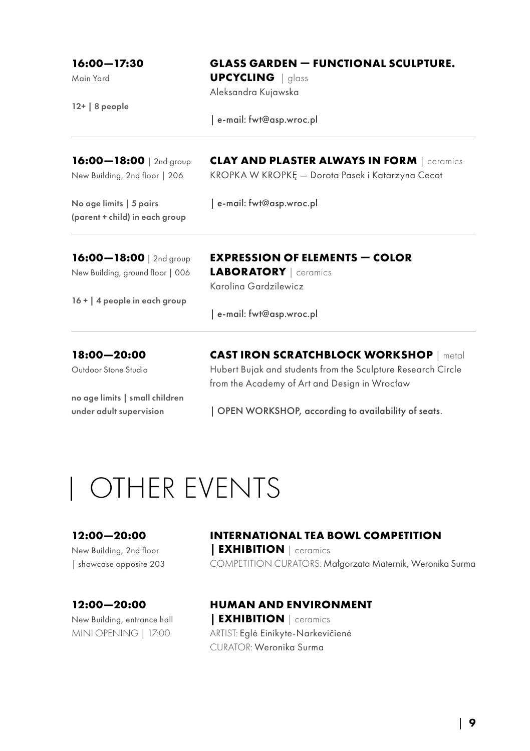| $16:00 - 17:30$                                           | <b>GLASS GARDEN - FUNCTIONAL SCULPTURE.</b><br><b>UPCYCLING</b>   glass |  |
|-----------------------------------------------------------|-------------------------------------------------------------------------|--|
| Main Yard<br>$12+$ 8 people                               |                                                                         |  |
|                                                           | Aleksandra Kujawska                                                     |  |
|                                                           | e-mail: fwt@asp.wroc.pl                                                 |  |
| 16:00-18:00   2nd group                                   | <b>CLAY AND PLASTER ALWAYS IN FORM</b> ceramics                         |  |
| New Building, 2nd floor   206                             | KROPKA W KROPKĘ – Dorota Pasek i Katarzyna Cecot                        |  |
| No age limits   5 pairs<br>(parent + child) in each group | e-mail: fwt@asp.wroc.pl                                                 |  |
| 16:00-18:00   2nd group                                   | <b>EXPRESSION OF ELEMENTS — COLOR</b>                                   |  |
| New Building, ground floor   006                          | <b>LABORATORY</b>   ceramics                                            |  |
|                                                           | Karolina Gardzilewicz                                                   |  |
| 16 +   4 people in each group                             |                                                                         |  |
|                                                           | e-mail: fwt@asp.wroc.pl                                                 |  |

**18:00—20:00** Outdoor Stone Studio

no age limits | small children under adult supervision

**CAST IRON SCRATCHBLOCK WORKSHOP** | metal Hubert Bujak and students from the Sculpture Research Circle from the Academy of Art and Design in Wrocław

| OPEN WORKSHOP, according to availability of seats.

## OTHER EVENTS

**12:00—20:00**  New Building, 2nd floor | showcase opposite 203

**12:00—20:00** New Building, entrance hall MINI OPENING | 17:00

## **INTERNATIONAL TEA BOWL COMPETITION | EXHIBITION** | ceramics

COMPETITION CURATORS: Małgorzata Maternik, Weronika Surma

## **HUMAN AND ENVIRONMENT**

**| EXHIBITION** | ceramics ARTIST: Eglė Einikyte-Narkevičienė CURATOR: Weronika Surma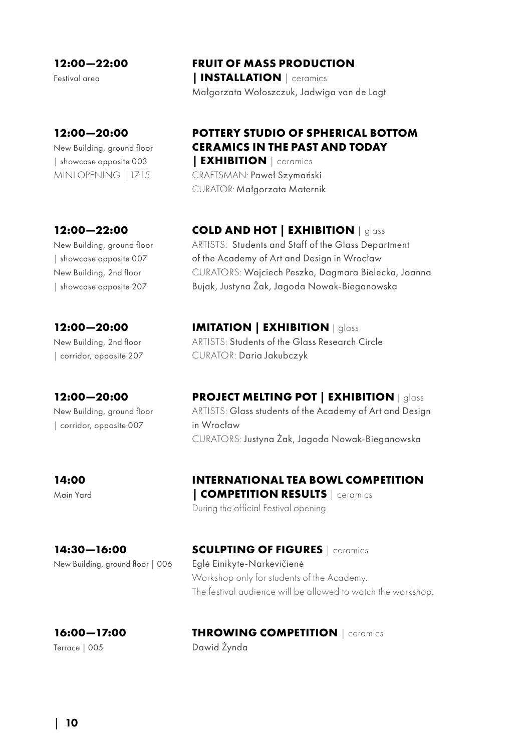**12:00—22:00** 

Festival area

### **12:00—20:00**

New Building, ground floor | showcase opposite 003 MINI OPENING | 17:15

### **12:00—22:00**

New Building, ground floor | showcase opposite 007 New Building, 2nd floor | showcase opposite 207

## **12:00—20:00**

New Building, 2nd floor | corridor, opposite 207

## **12:00—20:00** New Building, ground floor

| corridor, opposite 007

#### **14:00** Main Yard

## **INTERNATIONAL TEA BOWL COMPETITION | COMPETITION RESULTS** | ceramics

**PROJECT MELTING POT | EXHIBITION** | glass ARTISTS: Glass students of the Academy of Art and Design

During the official Festival opening

in Wrocław

**14:30—16:00** New Building, ground floor | 006

## **SCULPTING OF FIGURES** | ceramics Eglė Einikyte-Narkevičienė

Workshop only for students of the Academy. The festival audience will be allowed to watch the workshop.

### **16:00—17:00** Terrace | 005

### **THROWING COMPETITION** | ceramics Dawid Żynda

CURATORS: Justyna Żak, Jagoda Nowak-Bieganowska

**COLD AND HOT | EXHIBITION** | glass

ARTISTS: Students and Staff of the Glass Department of the Academy of Art and Design in Wrocław CURATORS: Wojciech Peszko, Dagmara Bielecka, Joanna

Bujak, Justyna Żak, Jagoda Nowak-Bieganowska

**IMITATION | EXHIBITION** | glass ARTISTS: Students of the Glass Research Circle CURATOR: Daria Jakubczyk

## **POTTERY STUDIO OF SPHERICAL BOTTOM CERAMICS IN THE PAST AND TODAY**

**| EXHIBITION** | ceramics CRAFTSMAN: Paweł Szymański CURATOR: Małgorzata Maternik

## **FRUIT OF MASS PRODUCTION**

**| INSTALLATION** | ceramics Małgorzata Wołoszczuk, Jadwiga van de Logt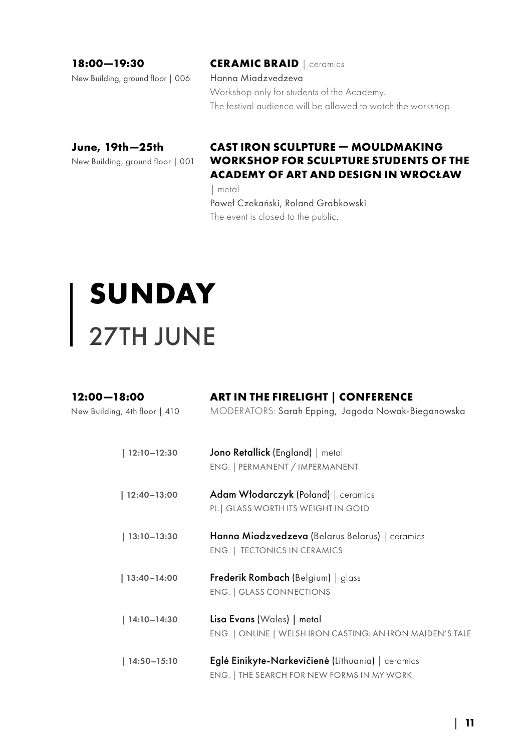New Building, ground floor | 006

**18:00—19:30**

**CERAMIC BRAID** | ceramics Hanna Miadzvedzeva Workshop only for students of the Academy. The festival audience will be allowed to watch the workshop.

## **June, 19th—25th**

New Building, ground floor | 001

## **CAST IRON SCULPTURE — MOULDMAKING WORKSHOP FOR SCULPTURE STUDENTS OF THE ACADEMY OF ART AND DESIGN IN WROCŁAW**  | metal

Paweł Czekański, Roland Grabkowski

The event is closed to the public.

# **SUNDAY** 27TH JUNE

| $12:00 - 18:00$<br>New Building, 4th floor   410 | <b>ART IN THE FIRELIGHT   CONFERENCE</b><br>MODERATORS: Sarah Epping, Jagoda Nowak-Bieganowska  |
|--------------------------------------------------|-------------------------------------------------------------------------------------------------|
| $  12:10 - 12:30$                                | Jono Retallick (England)   metal<br>ENG.   PERMANENT / IMPERMANENT                              |
| $  12:40 - 13:00$                                | Adam Włodarczyk (Poland)   ceramics<br>PL.   GLASS WORTH ITS WEIGHT IN GOLD                     |
| $ 13:10-13:30$                                   | Hanna Miadzvedzeva (Belarus Belarus)   ceramics<br><b>ENG.   TECTONICS IN CERAMICS</b>          |
| $  13:40 - 14:00$                                | Frederik Rombach (Belgium)   glass<br><b>ENG.   GLASS CONNECTIONS</b>                           |
| 14:10-14:30                                      | Lisa Evans (Wales)   metal<br>ENG.   ONLINE   WELSH IRON CASTING: AN IRON MAIDEN'S TALE         |
| $14:50 - 15:10$                                  | Eglė Einikyte-Narkevičienė (Lithuania)   ceramics<br>ENG.   THE SEARCH FOR NEW FORMS IN MY WORK |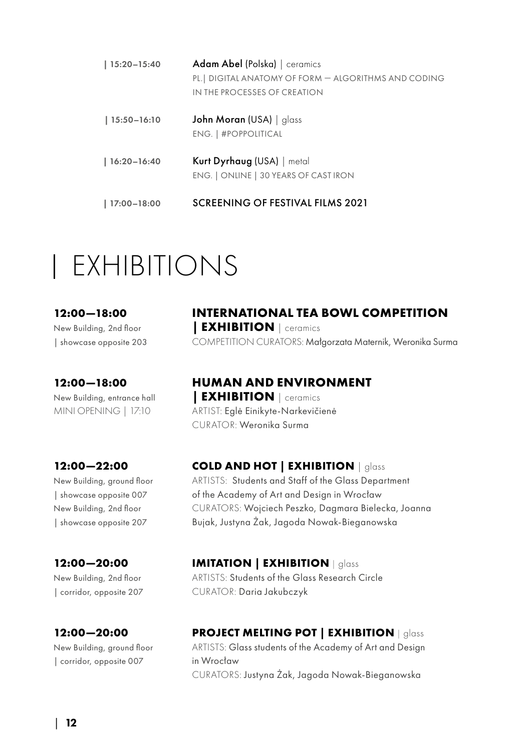| $ 15:20 - 15:40$  | Adam Abel (Polska)   ceramics<br>PL.   DIGITAL ANATOMY OF FORM - ALGORITHMS AND CODING<br>IN THE PROCESSES OF CREATION |
|-------------------|------------------------------------------------------------------------------------------------------------------------|
| $ 15:50-16:10$    | John Moran (USA)   alass<br>ENG.   #POPPOLITICAL                                                                       |
| $ 16:20-16:40$    | Kurt Dyrhaug (USA)   metal<br>ENG.   ONLINE   30 YEARS OF CAST IRON                                                    |
| $  17:00 - 18:00$ | SCREENING OF FESTIVAL FILMS 2021                                                                                       |

## EXHIBITIONS

#### **12:00—18:00**

New Building, 2nd floor | showcase opposite 203

### **12:00—18:00**

New Building, entrance hall MINI OPENING | 17:10

### **12:00—22:00**

New Building, ground floor | showcase opposite 007 New Building, 2nd floor | showcase opposite 207

### **12:00—20:00**

New Building, 2nd floor | corridor, opposite 207

## **12:00—20:00**

New Building, ground floor | corridor, opposite 007

## **INTERNATIONAL TEA BOWL COMPETITION | EXHIBITION** | ceramics

COMPETITION CURATORS: Małgorzata Maternik, Weronika Surma

## **HUMAN AND ENVIRONMENT**

**| EXHIBITION** | ceramics ARTIST: Eglė Einikyte-Narkevičienė CURATOR: Weronika Surma

## **COLD AND HOT | EXHIBITION** | glass

ARTISTS: Students and Staff of the Glass Department of the Academy of Art and Design in Wrocław CURATORS: Wojciech Peszko, Dagmara Bielecka, Joanna Bujak, Justyna Żak, Jagoda Nowak-Bieganowska

## **IMITATION | EXHIBITION** | glass

ARTISTS: Students of the Glass Research Circle CURATOR: Daria Jakubczyk

## **PROJECT MELTING POT | EXHIBITION** | glass

ARTISTS: Glass students of the Academy of Art and Design in Wrocław CURATORS: Justyna Żak, Jagoda Nowak-Bieganowska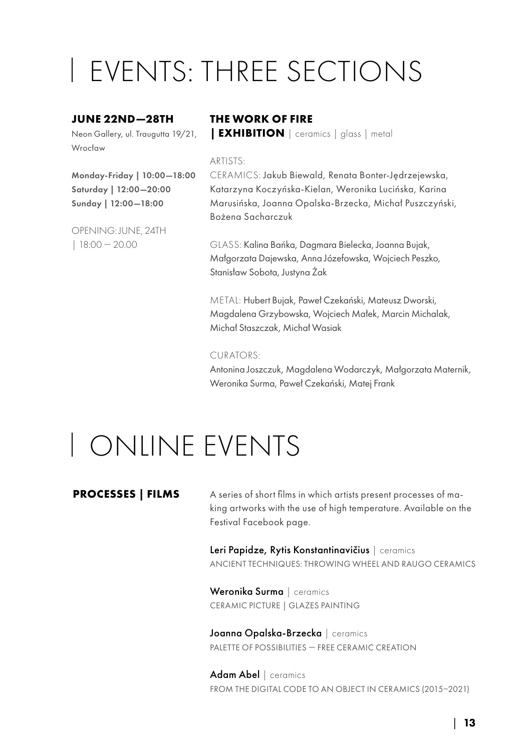## EVENTS: THREE SECTIONS

#### **JUNE 22ND—28TH**

Neon Gallery, ul. Traugutta 19/21, Wrocław

Monday-Friday | 10:00—18:00 Saturday | 12:00—20:00 Sunday | 12:00—18:00

OPENING: JUNE, 24TH | 18:00 — 20.00

## **THE WORK OF FIRE**

**| EXHIBITION** | ceramics | glass | metal

#### ARTISTS:

CERAMICS: Jakub Biewald, Renata Bonter-Jędrzejewska, Katarzyna Koczyńska-Kielan, Weronika Lucińska, Karina Marusińska, Joanna Opalska-Brzecka, Michał Puszczyński, Bożena Sacharczuk

GLASS: Kalina Bańka, Dagmara Bielecka, Joanna Bujak, Małgorzata Dajewska, Anna Józefowska, Wojciech Peszko, Stanisław Sobota, Justyna Żak

METAL: Hubert Bujak, Paweł Czekański, Mateusz Dworski, Magdalena Grzybowska, Wojciech Małek, Marcin Michalak, Michał Staszczak, Michał Wasiak

#### CURATORS:

Antonina Joszczuk, Magdalena Wodarczyk, Małgorzata Maternik, Weronika Surma, Paweł Czekański, Matej Frank

## ONLINE EVENTS

#### **PROCESSES | FILMS**

A series of short films in which artists present processes of making artworks with the use of high temperature. Available on the Festival Facebook page.

Leri Papidze, Rytis Konstantinavičius | ceramics ANCIENT TECHNIQUES: THROWING WHEEL AND RAUGO CERAMICS

Weronika Surma | ceramics CERAMIC PICTURE | GLAZES PAINTING

Joanna Opalska-Brzecka | ceramics PALETTE OF POSSIBILITIES — FREE CERAMIC CREATION

Adam Abel | ceramics FROM THE DIGITAL CODE TO AN OBJECT IN CERAMICS (2015–2021)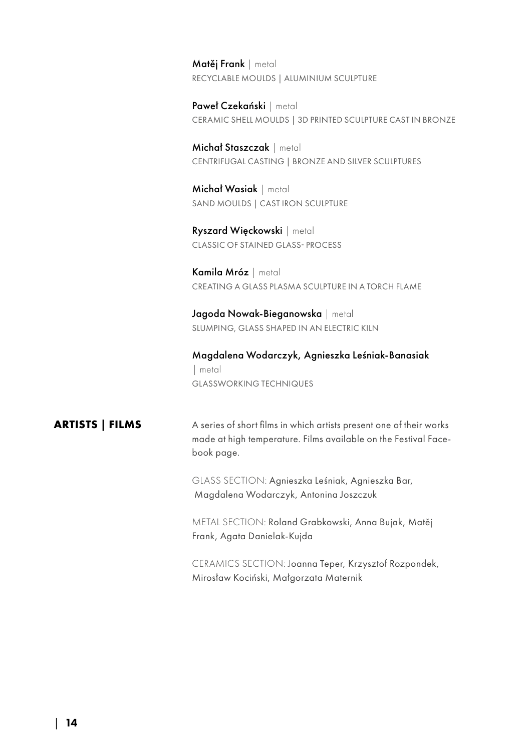Matěi Frank | metal RECYCLABLE MOULDS | ALUMINIUM SCULPTURE

Paweł Czekański | metal CERAMIC SHELL MOULDS | 3D PRINTED SCULPTURE CAST IN BRONZE

Michał Staszczak | metal CENTRIFUGAL CASTING | BRONZE AND SILVER SCULPTURES

Michał Wasiak | metal SAND MOULDS | CAST IRON SCULPTURE

Ryszard Więckowski | metal CLASSIC OF STAINED GLASS- PROCESS

Kamila Mróz | metal CREATING A GLASS PLASMA SCULPTURE IN A TORCH FLAME

Jagoda Nowak-Bieganowska | metal SLUMPING, GLASS SHAPED IN AN ELECTRIC KILN

Magdalena Wodarczyk, Agnieszka Leśniak-Banasiak | metal GLASSWORKING TECHNIQUES

## **ARTISTS | FILMS**

A series of short films in which artists present one of their works made at high temperature. Films available on the Festival Facebook page.

GLASS SECTION: Agnieszka Leśniak, Agnieszka Bar, Magdalena Wodarczyk, Antonina Joszczuk

METAL SECTION: Roland Grabkowski, Anna Bujak, Matěj Frank, Agata Danielak-Kujda

CERAMICS SECTION: Joanna Teper, Krzysztof Rozpondek, Mirosław Kociński, Małgorzata Maternik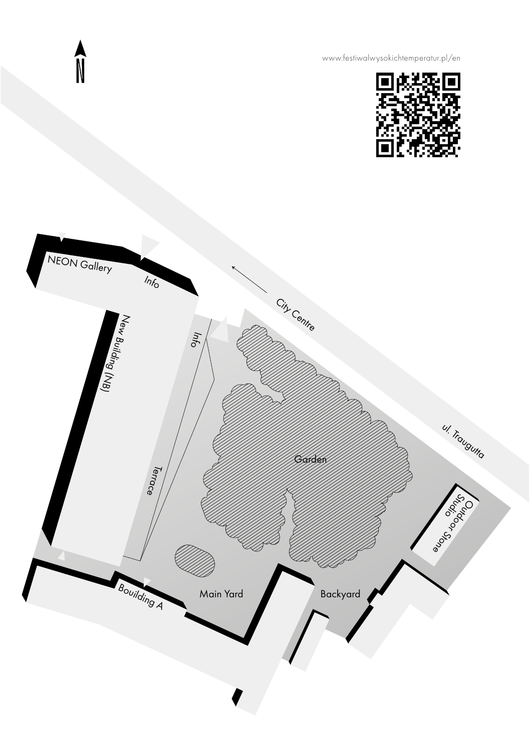[www.festiwalwysokichtemperatur.pl/en](https://festiwalwysokichtemperatur.pl/home/)





**A**